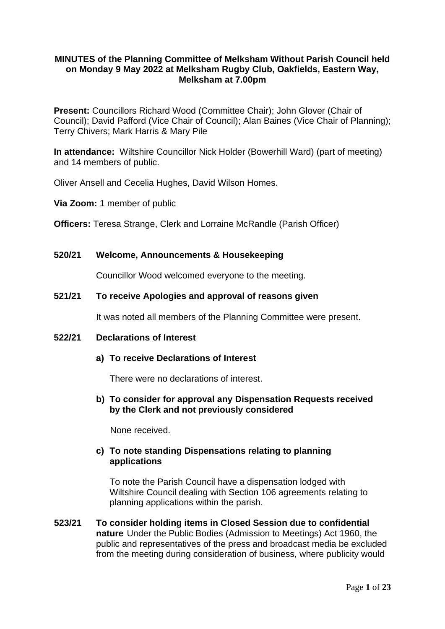# **MINUTES of the Planning Committee of Melksham Without Parish Council held on Monday 9 May 2022 at Melksham Rugby Club, Oakfields, Eastern Way, Melksham at 7.00pm**

**Present:** Councillors Richard Wood (Committee Chair); John Glover (Chair of Council); David Pafford (Vice Chair of Council); Alan Baines (Vice Chair of Planning); Terry Chivers; Mark Harris & Mary Pile

**In attendance:** Wiltshire Councillor Nick Holder (Bowerhill Ward) (part of meeting) and 14 members of public.

Oliver Ansell and Cecelia Hughes, David Wilson Homes.

**Via Zoom:** 1 member of public

**Officers:** Teresa Strange, Clerk and Lorraine McRandle (Parish Officer)

### **520/21 Welcome, Announcements & Housekeeping**

Councillor Wood welcomed everyone to the meeting.

### **521/21 To receive Apologies and approval of reasons given**

It was noted all members of the Planning Committee were present.

### **522/21 Declarations of Interest**

### **a) To receive Declarations of Interest**

There were no declarations of interest.

### **b) To consider for approval any Dispensation Requests received by the Clerk and not previously considered**

None received.

# **c) To note standing Dispensations relating to planning applications**

To note the Parish Council have a dispensation lodged with Wiltshire Council dealing with Section 106 agreements relating to planning applications within the parish.

**523/21 To consider holding items in Closed Session due to confidential nature** Under the Public Bodies (Admission to Meetings) Act 1960, the public and representatives of the press and broadcast media be excluded from the meeting during consideration of business, where publicity would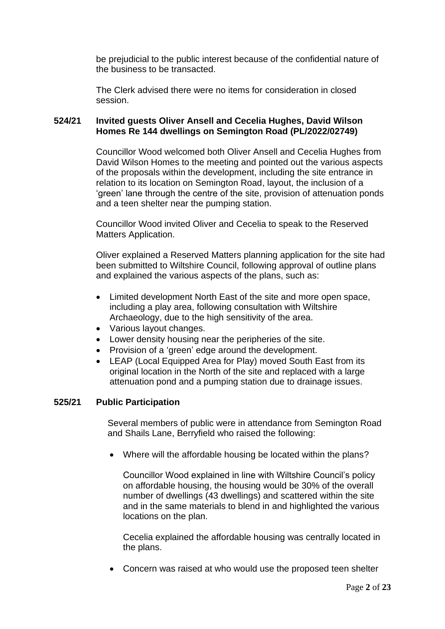be prejudicial to the public interest because of the confidential nature of the business to be transacted.

The Clerk advised there were no items for consideration in closed session.

# **524/21 Invited guests Oliver Ansell and Cecelia Hughes, David Wilson Homes Re 144 dwellings on Semington Road (PL/2022/02749)**

Councillor Wood welcomed both Oliver Ansell and Cecelia Hughes from David Wilson Homes to the meeting and pointed out the various aspects of the proposals within the development, including the site entrance in relation to its location on Semington Road, layout, the inclusion of a 'green' lane through the centre of the site, provision of attenuation ponds and a teen shelter near the pumping station.

Councillor Wood invited Oliver and Cecelia to speak to the Reserved Matters Application.

Oliver explained a Reserved Matters planning application for the site had been submitted to Wiltshire Council, following approval of outline plans and explained the various aspects of the plans, such as:

- Limited development North East of the site and more open space, including a play area, following consultation with Wiltshire Archaeology, due to the high sensitivity of the area.
- Various layout changes.
- Lower density housing near the peripheries of the site.
- Provision of a 'green' edge around the development.
- LEAP (Local Equipped Area for Play) moved South East from its original location in the North of the site and replaced with a large attenuation pond and a pumping station due to drainage issues.

### **525/21 Public Participation**

Several members of public were in attendance from Semington Road and Shails Lane, Berryfield who raised the following:

• Where will the affordable housing be located within the plans?

Councillor Wood explained in line with Wiltshire Council's policy on affordable housing, the housing would be 30% of the overall number of dwellings (43 dwellings) and scattered within the site and in the same materials to blend in and highlighted the various locations on the plan.

Cecelia explained the affordable housing was centrally located in the plans.

• Concern was raised at who would use the proposed teen shelter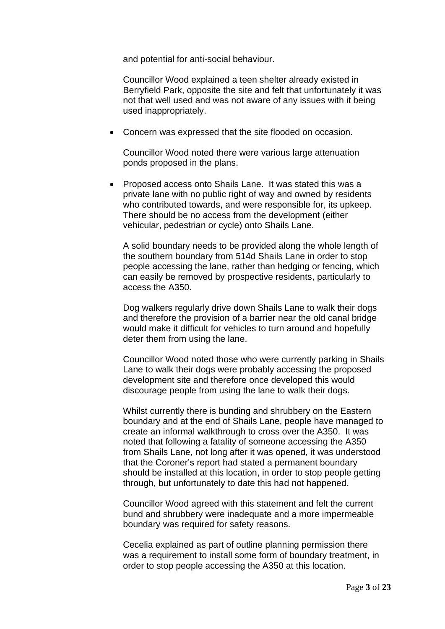and potential for anti-social behaviour.

Councillor Wood explained a teen shelter already existed in Berryfield Park, opposite the site and felt that unfortunately it was not that well used and was not aware of any issues with it being used inappropriately.

• Concern was expressed that the site flooded on occasion.

Councillor Wood noted there were various large attenuation ponds proposed in the plans.

• Proposed access onto Shails Lane. It was stated this was a private lane with no public right of way and owned by residents who contributed towards, and were responsible for, its upkeep. There should be no access from the development (either vehicular, pedestrian or cycle) onto Shails Lane.

A solid boundary needs to be provided along the whole length of the southern boundary from 514d Shails Lane in order to stop people accessing the lane, rather than hedging or fencing, which can easily be removed by prospective residents, particularly to access the A350.

Dog walkers regularly drive down Shails Lane to walk their dogs and therefore the provision of a barrier near the old canal bridge would make it difficult for vehicles to turn around and hopefully deter them from using the lane.

Councillor Wood noted those who were currently parking in Shails Lane to walk their dogs were probably accessing the proposed development site and therefore once developed this would discourage people from using the lane to walk their dogs.

Whilst currently there is bunding and shrubbery on the Eastern boundary and at the end of Shails Lane, people have managed to create an informal walkthrough to cross over the A350. It was noted that following a fatality of someone accessing the A350 from Shails Lane, not long after it was opened, it was understood that the Coroner's report had stated a permanent boundary should be installed at this location, in order to stop people getting through, but unfortunately to date this had not happened.

Councillor Wood agreed with this statement and felt the current bund and shrubbery were inadequate and a more impermeable boundary was required for safety reasons.

Cecelia explained as part of outline planning permission there was a requirement to install some form of boundary treatment, in order to stop people accessing the A350 at this location.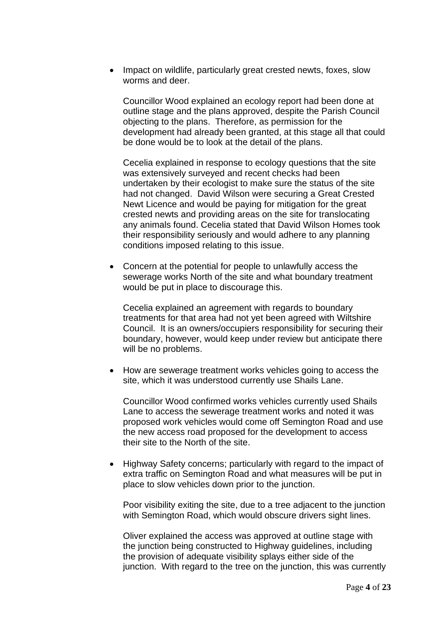• Impact on wildlife, particularly great crested newts, foxes, slow worms and deer.

Councillor Wood explained an ecology report had been done at outline stage and the plans approved, despite the Parish Council objecting to the plans. Therefore, as permission for the development had already been granted, at this stage all that could be done would be to look at the detail of the plans.

Cecelia explained in response to ecology questions that the site was extensively surveyed and recent checks had been undertaken by their ecologist to make sure the status of the site had not changed. David Wilson were securing a Great Crested Newt Licence and would be paying for mitigation for the great crested newts and providing areas on the site for translocating any animals found. Cecelia stated that David Wilson Homes took their responsibility seriously and would adhere to any planning conditions imposed relating to this issue.

• Concern at the potential for people to unlawfully access the sewerage works North of the site and what boundary treatment would be put in place to discourage this.

Cecelia explained an agreement with regards to boundary treatments for that area had not yet been agreed with Wiltshire Council. It is an owners/occupiers responsibility for securing their boundary, however, would keep under review but anticipate there will be no problems.

• How are sewerage treatment works vehicles going to access the site, which it was understood currently use Shails Lane.

Councillor Wood confirmed works vehicles currently used Shails Lane to access the sewerage treatment works and noted it was proposed work vehicles would come off Semington Road and use the new access road proposed for the development to access their site to the North of the site.

• Highway Safety concerns; particularly with regard to the impact of extra traffic on Semington Road and what measures will be put in place to slow vehicles down prior to the junction.

Poor visibility exiting the site, due to a tree adjacent to the junction with Semington Road, which would obscure drivers sight lines.

Oliver explained the access was approved at outline stage with the junction being constructed to Highway guidelines, including the provision of adequate visibility splays either side of the junction. With regard to the tree on the junction, this was currently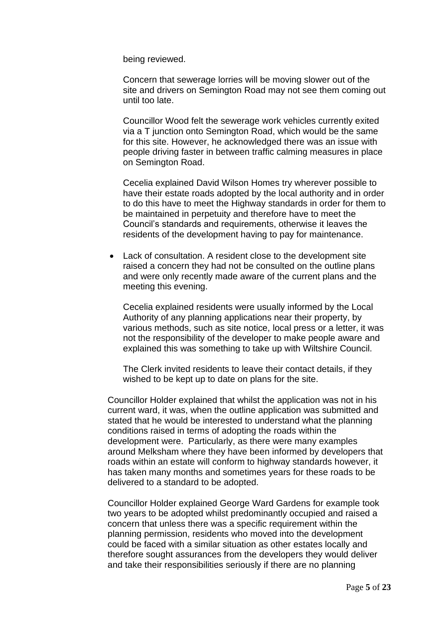being reviewed.

Concern that sewerage lorries will be moving slower out of the site and drivers on Semington Road may not see them coming out until too late.

Councillor Wood felt the sewerage work vehicles currently exited via a T junction onto Semington Road, which would be the same for this site. However, he acknowledged there was an issue with people driving faster in between traffic calming measures in place on Semington Road.

Cecelia explained David Wilson Homes try wherever possible to have their estate roads adopted by the local authority and in order to do this have to meet the Highway standards in order for them to be maintained in perpetuity and therefore have to meet the Council's standards and requirements, otherwise it leaves the residents of the development having to pay for maintenance.

• Lack of consultation. A resident close to the development site raised a concern they had not be consulted on the outline plans and were only recently made aware of the current plans and the meeting this evening.

Cecelia explained residents were usually informed by the Local Authority of any planning applications near their property, by various methods, such as site notice, local press or a letter, it was not the responsibility of the developer to make people aware and explained this was something to take up with Wiltshire Council.

The Clerk invited residents to leave their contact details, if they wished to be kept up to date on plans for the site.

Councillor Holder explained that whilst the application was not in his current ward, it was, when the outline application was submitted and stated that he would be interested to understand what the planning conditions raised in terms of adopting the roads within the development were. Particularly, as there were many examples around Melksham where they have been informed by developers that roads within an estate will conform to highway standards however, it has taken many months and sometimes years for these roads to be delivered to a standard to be adopted.

Councillor Holder explained George Ward Gardens for example took two years to be adopted whilst predominantly occupied and raised a concern that unless there was a specific requirement within the planning permission, residents who moved into the development could be faced with a similar situation as other estates locally and therefore sought assurances from the developers they would deliver and take their responsibilities seriously if there are no planning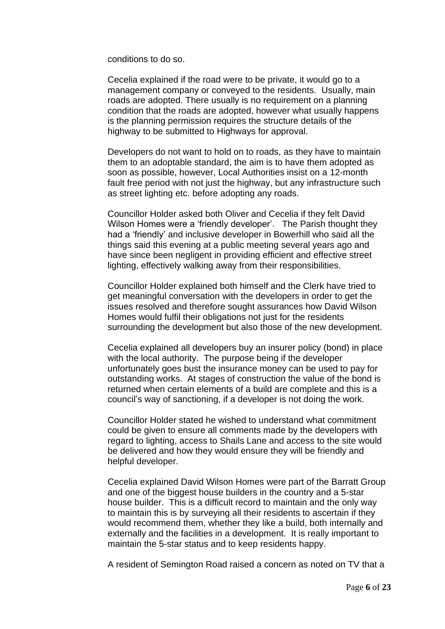conditions to do so.

Cecelia explained if the road were to be private, it would go to a management company or conveyed to the residents. Usually, main roads are adopted. There usually is no requirement on a planning condition that the roads are adopted, however what usually happens is the planning permission requires the structure details of the highway to be submitted to Highways for approval.

Developers do not want to hold on to roads, as they have to maintain them to an adoptable standard, the aim is to have them adopted as soon as possible, however, Local Authorities insist on a 12-month fault free period with not just the highway, but any infrastructure such as street lighting etc. before adopting any roads.

Councillor Holder asked both Oliver and Cecelia if they felt David Wilson Homes were a 'friendly developer'. The Parish thought they had a 'friendly' and inclusive developer in Bowerhill who said all the things said this evening at a public meeting several years ago and have since been negligent in providing efficient and effective street lighting, effectively walking away from their responsibilities.

Councillor Holder explained both himself and the Clerk have tried to get meaningful conversation with the developers in order to get the issues resolved and therefore sought assurances how David Wilson Homes would fulfil their obligations not just for the residents surrounding the development but also those of the new development.

Cecelia explained all developers buy an insurer policy (bond) in place with the local authority. The purpose being if the developer unfortunately goes bust the insurance money can be used to pay for outstanding works. At stages of construction the value of the bond is returned when certain elements of a build are complete and this is a council's way of sanctioning, if a developer is not doing the work.

Councillor Holder stated he wished to understand what commitment could be given to ensure all comments made by the developers with regard to lighting, access to Shails Lane and access to the site would be delivered and how they would ensure they will be friendly and helpful developer.

Cecelia explained David Wilson Homes were part of the Barratt Group and one of the biggest house builders in the country and a 5-star house builder. This is a difficult record to maintain and the only way to maintain this is by surveying all their residents to ascertain if they would recommend them, whether they like a build, both internally and externally and the facilities in a development. It is really important to maintain the 5-star status and to keep residents happy.

A resident of Semington Road raised a concern as noted on TV that a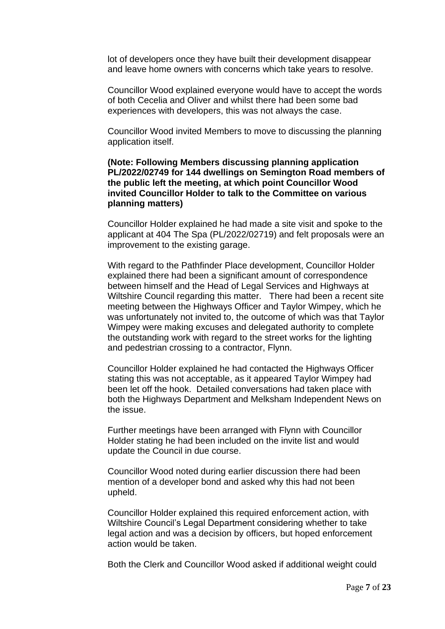lot of developers once they have built their development disappear and leave home owners with concerns which take years to resolve.

Councillor Wood explained everyone would have to accept the words of both Cecelia and Oliver and whilst there had been some bad experiences with developers, this was not always the case.

Councillor Wood invited Members to move to discussing the planning application itself.

### **(Note: Following Members discussing planning application PL/2022/02749 for 144 dwellings on Semington Road members of the public left the meeting, at which point Councillor Wood invited Councillor Holder to talk to the Committee on various planning matters)**

Councillor Holder explained he had made a site visit and spoke to the applicant at 404 The Spa (PL/2022/02719) and felt proposals were an improvement to the existing garage.

With regard to the Pathfinder Place development, Councillor Holder explained there had been a significant amount of correspondence between himself and the Head of Legal Services and Highways at Wiltshire Council regarding this matter. There had been a recent site meeting between the Highways Officer and Taylor Wimpey, which he was unfortunately not invited to, the outcome of which was that Taylor Wimpey were making excuses and delegated authority to complete the outstanding work with regard to the street works for the lighting and pedestrian crossing to a contractor, Flynn.

Councillor Holder explained he had contacted the Highways Officer stating this was not acceptable, as it appeared Taylor Wimpey had been let off the hook. Detailed conversations had taken place with both the Highways Department and Melksham Independent News on the issue.

Further meetings have been arranged with Flynn with Councillor Holder stating he had been included on the invite list and would update the Council in due course.

Councillor Wood noted during earlier discussion there had been mention of a developer bond and asked why this had not been upheld.

Councillor Holder explained this required enforcement action, with Wiltshire Council's Legal Department considering whether to take legal action and was a decision by officers, but hoped enforcement action would be taken.

Both the Clerk and Councillor Wood asked if additional weight could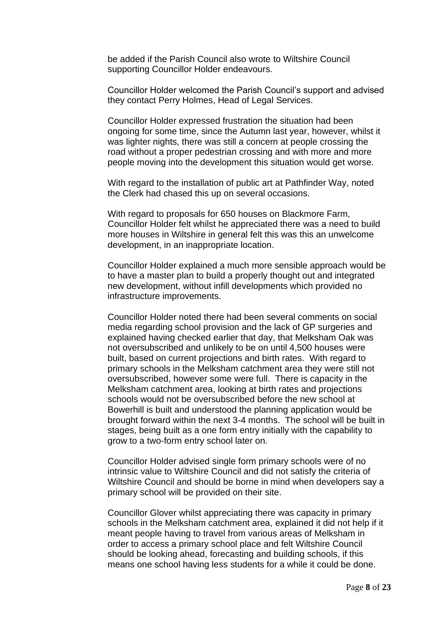be added if the Parish Council also wrote to Wiltshire Council supporting Councillor Holder endeavours.

Councillor Holder welcomed the Parish Council's support and advised they contact Perry Holmes, Head of Legal Services.

Councillor Holder expressed frustration the situation had been ongoing for some time, since the Autumn last year, however, whilst it was lighter nights, there was still a concern at people crossing the road without a proper pedestrian crossing and with more and more people moving into the development this situation would get worse.

With regard to the installation of public art at Pathfinder Way, noted the Clerk had chased this up on several occasions.

With regard to proposals for 650 houses on Blackmore Farm, Councillor Holder felt whilst he appreciated there was a need to build more houses in Wiltshire in general felt this was this an unwelcome development, in an inappropriate location.

Councillor Holder explained a much more sensible approach would be to have a master plan to build a properly thought out and integrated new development, without infill developments which provided no infrastructure improvements.

Councillor Holder noted there had been several comments on social media regarding school provision and the lack of GP surgeries and explained having checked earlier that day, that Melksham Oak was not oversubscribed and unlikely to be on until 4,500 houses were built, based on current projections and birth rates. With regard to primary schools in the Melksham catchment area they were still not oversubscribed, however some were full. There is capacity in the Melksham catchment area, looking at birth rates and projections schools would not be oversubscribed before the new school at Bowerhill is built and understood the planning application would be brought forward within the next 3-4 months. The school will be built in stages, being built as a one form entry initially with the capability to grow to a two-form entry school later on.

Councillor Holder advised single form primary schools were of no intrinsic value to Wiltshire Council and did not satisfy the criteria of Wiltshire Council and should be borne in mind when developers say a primary school will be provided on their site.

Councillor Glover whilst appreciating there was capacity in primary schools in the Melksham catchment area, explained it did not help if it meant people having to travel from various areas of Melksham in order to access a primary school place and felt Wiltshire Council should be looking ahead, forecasting and building schools, if this means one school having less students for a while it could be done.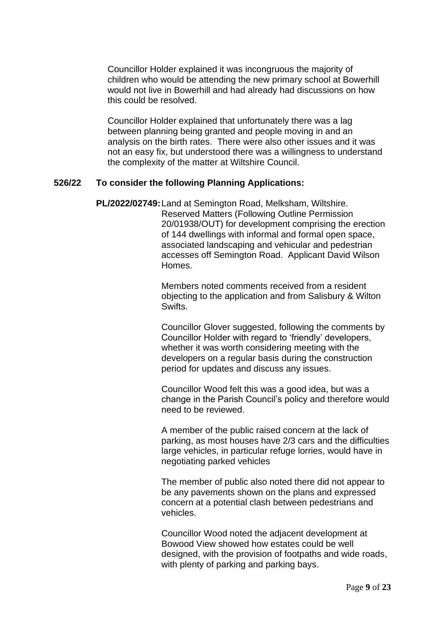Councillor Holder explained it was incongruous the majority of children who would be attending the new primary school at Bowerhill would not live in Bowerhill and had already had discussions on how this could be resolved.

Councillor Holder explained that unfortunately there was a lag between planning being granted and people moving in and an analysis on the birth rates. There were also other issues and it was not an easy fix, but understood there was a willingness to understand the complexity of the matter at Wiltshire Council.

### **526/22 To consider the following Planning Applications:**

**PL/2022/02749:**Land at Semington Road, Melksham, Wiltshire. Reserved Matters (Following Outline Permission 20/01938/OUT) for development comprising the erection of 144 dwellings with informal and formal open space, associated landscaping and vehicular and pedestrian accesses off Semington Road. Applicant David Wilson Homes.

> Members noted comments received from a resident objecting to the application and from Salisbury & Wilton Swifts.

Councillor Glover suggested, following the comments by Councillor Holder with regard to 'friendly' developers, whether it was worth considering meeting with the developers on a regular basis during the construction period for updates and discuss any issues.

Councillor Wood felt this was a good idea, but was a change in the Parish Council's policy and therefore would need to be reviewed.

A member of the public raised concern at the lack of parking, as most houses have 2/3 cars and the difficulties large vehicles, in particular refuge lorries, would have in negotiating parked vehicles

The member of public also noted there did not appear to be any pavements shown on the plans and expressed concern at a potential clash between pedestrians and vehicles.

Councillor Wood noted the adjacent development at Bowood View showed how estates could be well designed, with the provision of footpaths and wide roads, with plenty of parking and parking bays.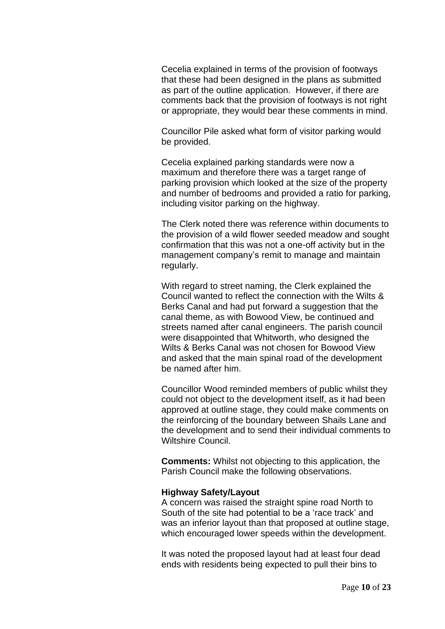Cecelia explained in terms of the provision of footways that these had been designed in the plans as submitted as part of the outline application. However, if there are comments back that the provision of footways is not right or appropriate, they would bear these comments in mind.

Councillor Pile asked what form of visitor parking would be provided.

Cecelia explained parking standards were now a maximum and therefore there was a target range of parking provision which looked at the size of the property and number of bedrooms and provided a ratio for parking, including visitor parking on the highway.

The Clerk noted there was reference within documents to the provision of a wild flower seeded meadow and sought confirmation that this was not a one-off activity but in the management company's remit to manage and maintain regularly.

With regard to street naming, the Clerk explained the Council wanted to reflect the connection with the Wilts & Berks Canal and had put forward a suggestion that the canal theme, as with Bowood View, be continued and streets named after canal engineers. The parish council were disappointed that Whitworth, who designed the Wilts & Berks Canal was not chosen for Bowood View and asked that the main spinal road of the development be named after him.

Councillor Wood reminded members of public whilst they could not object to the development itself, as it had been approved at outline stage, they could make comments on the reinforcing of the boundary between Shails Lane and the development and to send their individual comments to Wiltshire Council.

**Comments:** Whilst not objecting to this application, the Parish Council make the following observations.

#### **Highway Safety/Layout**

A concern was raised the straight spine road North to South of the site had potential to be a 'race track' and was an inferior layout than that proposed at outline stage, which encouraged lower speeds within the development.

It was noted the proposed layout had at least four dead ends with residents being expected to pull their bins to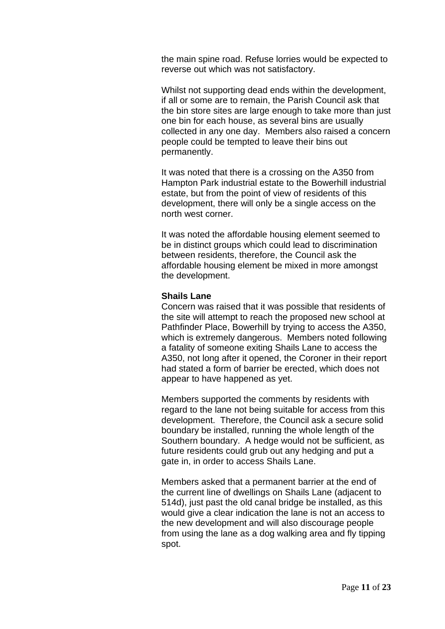the main spine road. Refuse lorries would be expected to reverse out which was not satisfactory.

Whilst not supporting dead ends within the development, if all or some are to remain, the Parish Council ask that the bin store sites are large enough to take more than just one bin for each house, as several bins are usually collected in any one day. Members also raised a concern people could be tempted to leave their bins out permanently.

It was noted that there is a crossing on the A350 from Hampton Park industrial estate to the Bowerhill industrial estate, but from the point of view of residents of this development, there will only be a single access on the north west corner.

It was noted the affordable housing element seemed to be in distinct groups which could lead to discrimination between residents, therefore, the Council ask the affordable housing element be mixed in more amongst the development.

#### **Shails Lane**

Concern was raised that it was possible that residents of the site will attempt to reach the proposed new school at Pathfinder Place, Bowerhill by trying to access the A350, which is extremely dangerous. Members noted following a fatality of someone exiting Shails Lane to access the A350, not long after it opened, the Coroner in their report had stated a form of barrier be erected, which does not appear to have happened as yet.

Members supported the comments by residents with regard to the lane not being suitable for access from this development. Therefore, the Council ask a secure solid boundary be installed, running the whole length of the Southern boundary. A hedge would not be sufficient, as future residents could grub out any hedging and put a gate in, in order to access Shails Lane.

Members asked that a permanent barrier at the end of the current line of dwellings on Shails Lane (adjacent to 514d), just past the old canal bridge be installed, as this would give a clear indication the lane is not an access to the new development and will also discourage people from using the lane as a dog walking area and fly tipping spot.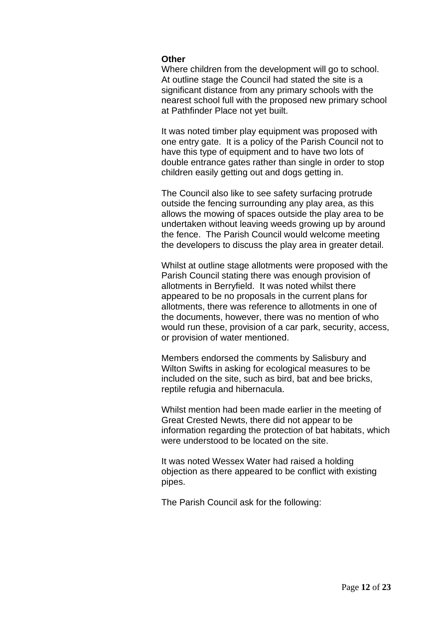#### **Other**

Where children from the development will go to school. At outline stage the Council had stated the site is a significant distance from any primary schools with the nearest school full with the proposed new primary school at Pathfinder Place not yet built.

It was noted timber play equipment was proposed with one entry gate. It is a policy of the Parish Council not to have this type of equipment and to have two lots of double entrance gates rather than single in order to stop children easily getting out and dogs getting in.

The Council also like to see safety surfacing protrude outside the fencing surrounding any play area, as this allows the mowing of spaces outside the play area to be undertaken without leaving weeds growing up by around the fence. The Parish Council would welcome meeting the developers to discuss the play area in greater detail.

Whilst at outline stage allotments were proposed with the Parish Council stating there was enough provision of allotments in Berryfield. It was noted whilst there appeared to be no proposals in the current plans for allotments, there was reference to allotments in one of the documents, however, there was no mention of who would run these, provision of a car park, security, access, or provision of water mentioned.

Members endorsed the comments by Salisbury and Wilton Swifts in asking for ecological measures to be included on the site, such as bird, bat and bee bricks, reptile refugia and hibernacula.

Whilst mention had been made earlier in the meeting of Great Crested Newts, there did not appear to be information regarding the protection of bat habitats, which were understood to be located on the site.

It was noted Wessex Water had raised a holding objection as there appeared to be conflict with existing pipes.

The Parish Council ask for the following: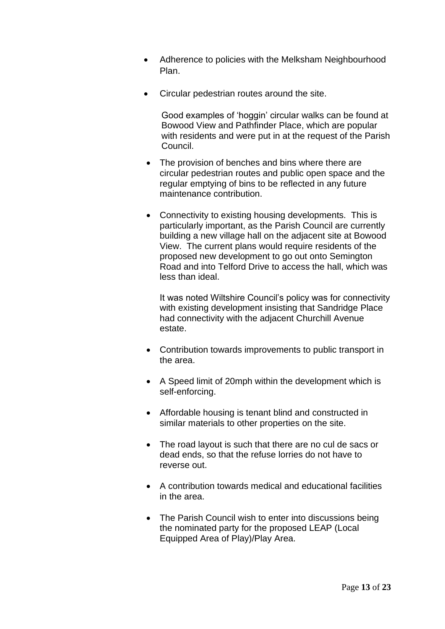- Adherence to policies with the Melksham Neighbourhood Plan.
- Circular pedestrian routes around the site.

Good examples of 'hoggin' circular walks can be found at Bowood View and Pathfinder Place, which are popular with residents and were put in at the request of the Parish Council.

- The provision of benches and bins where there are circular pedestrian routes and public open space and the regular emptying of bins to be reflected in any future maintenance contribution.
- Connectivity to existing housing developments. This is particularly important, as the Parish Council are currently building a new village hall on the adjacent site at Bowood View. The current plans would require residents of the proposed new development to go out onto Semington Road and into Telford Drive to access the hall, which was less than ideal.

It was noted Wiltshire Council's policy was for connectivity with existing development insisting that Sandridge Place had connectivity with the adjacent Churchill Avenue estate.

- Contribution towards improvements to public transport in the area.
- A Speed limit of 20mph within the development which is self-enforcing.
- Affordable housing is tenant blind and constructed in similar materials to other properties on the site.
- The road layout is such that there are no cul de sacs or dead ends, so that the refuse lorries do not have to reverse out.
- A contribution towards medical and educational facilities in the area.
- The Parish Council wish to enter into discussions being the nominated party for the proposed LEAP (Local Equipped Area of Play)/Play Area.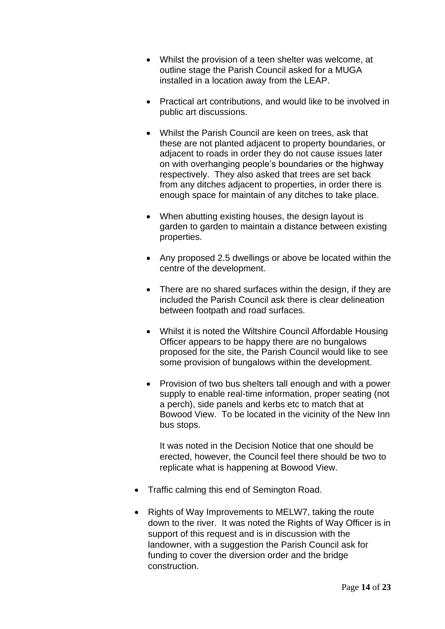- Whilst the provision of a teen shelter was welcome, at outline stage the Parish Council asked for a MUGA installed in a location away from the LEAP.
- Practical art contributions, and would like to be involved in public art discussions.
- Whilst the Parish Council are keen on trees, ask that these are not planted adjacent to property boundaries, or adjacent to roads in order they do not cause issues later on with overhanging people's boundaries or the highway respectively. They also asked that trees are set back from any ditches adjacent to properties, in order there is enough space for maintain of any ditches to take place.
- When abutting existing houses, the design layout is garden to garden to maintain a distance between existing properties.
- Any proposed 2.5 dwellings or above be located within the centre of the development.
- There are no shared surfaces within the design, if they are included the Parish Council ask there is clear delineation between footpath and road surfaces.
- Whilst it is noted the Wiltshire Council Affordable Housing Officer appears to be happy there are no bungalows proposed for the site, the Parish Council would like to see some provision of bungalows within the development.
- Provision of two bus shelters tall enough and with a power supply to enable real-time information, proper seating (not a perch), side panels and kerbs etc to match that at Bowood View. To be located in the vicinity of the New Inn bus stops.

It was noted in the Decision Notice that one should be erected, however, the Council feel there should be two to replicate what is happening at Bowood View.

- Traffic calming this end of Semington Road.
- Rights of Way Improvements to MELW7, taking the route down to the river. It was noted the Rights of Way Officer is in support of this request and is in discussion with the landowner, with a suggestion the Parish Council ask for funding to cover the diversion order and the bridge construction.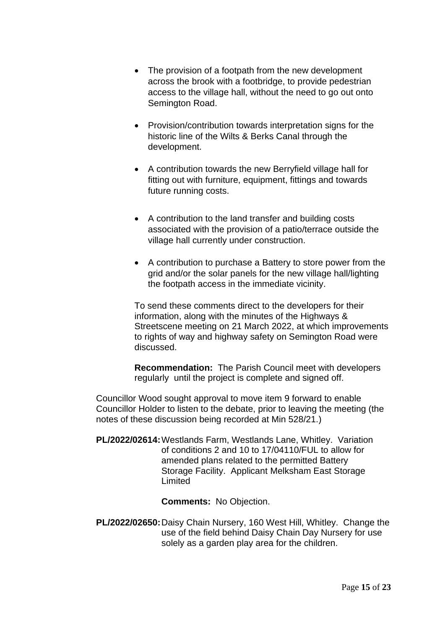- The provision of a footpath from the new development across the brook with a footbridge, to provide pedestrian access to the village hall, without the need to go out onto Semington Road.
- Provision/contribution towards interpretation signs for the historic line of the Wilts & Berks Canal through the development.
- A contribution towards the new Berryfield village hall for fitting out with furniture, equipment, fittings and towards future running costs.
- A contribution to the land transfer and building costs associated with the provision of a patio/terrace outside the village hall currently under construction.
- A contribution to purchase a Battery to store power from the grid and/or the solar panels for the new village hall/lighting the footpath access in the immediate vicinity.

To send these comments direct to the developers for their information, along with the minutes of the Highways & Streetscene meeting on 21 March 2022, at which improvements to rights of way and highway safety on Semington Road were discussed.

**Recommendation:** The Parish Council meet with developers regularly until the project is complete and signed off.

Councillor Wood sought approval to move item 9 forward to enable Councillor Holder to listen to the debate, prior to leaving the meeting (the notes of these discussion being recorded at Min 528/21.)

**PL/2022/02614:**Westlands Farm, Westlands Lane, Whitley. Variation of conditions 2 and 10 to 17/04110/FUL to allow for amended plans related to the permitted Battery Storage Facility. Applicant Melksham East Storage Limited

**Comments:** No Objection.

**PL/2022/02650:**Daisy Chain Nursery, 160 West Hill, Whitley. Change the use of the field behind Daisy Chain Day Nursery for use solely as a garden play area for the children.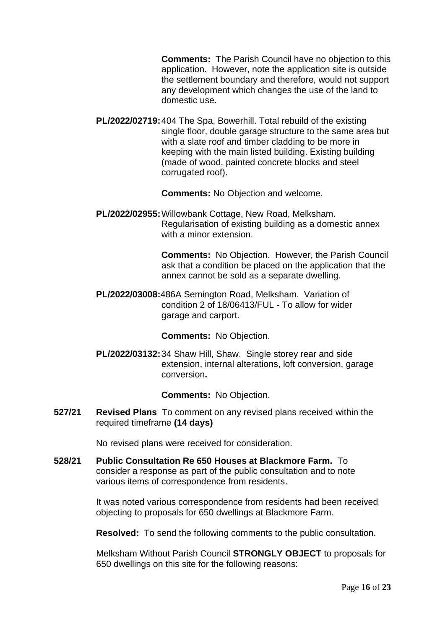**Comments:** The Parish Council have no objection to this application. However, note the application site is outside the settlement boundary and therefore, would not support any development which changes the use of the land to domestic use.

**PL/2022/02719:**404 The Spa, Bowerhill. Total rebuild of the existing single floor, double garage structure to the same area but with a slate roof and timber cladding to be more in keeping with the main listed building. Existing building (made of wood, painted concrete blocks and steel corrugated roof).

**Comments:** No Objection and welcome.

**PL/2022/02955:**Willowbank Cottage, New Road, Melksham. Regularisation of existing building as a domestic annex with a minor extension.

> **Comments:** No Objection. However, the Parish Council ask that a condition be placed on the application that the annex cannot be sold as a separate dwelling.

**PL/2022/03008:**486A Semington Road, Melksham. Variation of condition 2 of 18/06413/FUL - To allow for wider garage and carport.

**Comments:** No Objection.

**PL/2022/03132:**34 Shaw Hill, Shaw. Single storey rear and side extension, internal alterations, loft conversion, garage conversion**.** 

**Comments:** No Objection.

**527/21 Revised Plans** To comment on any revised plans received within the required timeframe **(14 days)** 

No revised plans were received for consideration.

**528/21 Public Consultation Re 650 Houses at Blackmore Farm.** To consider a response as part of the public consultation and to note various items of correspondence from residents.

> It was noted various correspondence from residents had been received objecting to proposals for 650 dwellings at Blackmore Farm.

> **Resolved:** To send the following comments to the public consultation.

Melksham Without Parish Council **STRONGLY OBJECT** to proposals for 650 dwellings on this site for the following reasons: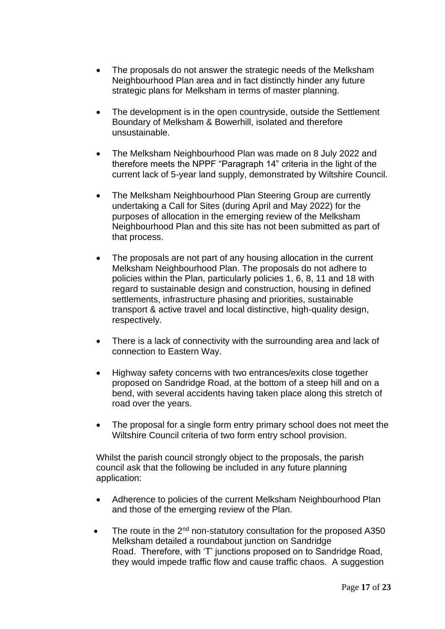- The proposals do not answer the strategic needs of the Melksham Neighbourhood Plan area and in fact distinctly hinder any future strategic plans for Melksham in terms of master planning.
- The development is in the open countryside, outside the Settlement Boundary of Melksham & Bowerhill, isolated and therefore unsustainable.
- The Melksham Neighbourhood Plan was made on 8 July 2022 and therefore meets the NPPF "Paragraph 14" criteria in the light of the current lack of 5-year land supply, demonstrated by Wiltshire Council.
- The Melksham Neighbourhood Plan Steering Group are currently undertaking a Call for Sites (during April and May 2022) for the purposes of allocation in the emerging review of the Melksham Neighbourhood Plan and this site has not been submitted as part of that process.
- The proposals are not part of any housing allocation in the current Melksham Neighbourhood Plan. The proposals do not adhere to policies within the Plan, particularly policies 1, 6, 8, 11 and 18 with regard to sustainable design and construction, housing in defined settlements, infrastructure phasing and priorities, sustainable transport & active travel and local distinctive, high-quality design, respectively.
- There is a lack of connectivity with the surrounding area and lack of connection to Eastern Way.
- Highway safety concerns with two entrances/exits close together proposed on Sandridge Road, at the bottom of a steep hill and on a bend, with several accidents having taken place along this stretch of road over the years.
- The proposal for a single form entry primary school does not meet the Wiltshire Council criteria of two form entry school provision.

Whilst the parish council strongly object to the proposals, the parish council ask that the following be included in any future planning application:

- Adherence to policies of the current Melksham Neighbourhood Plan and those of the emerging review of the Plan.
- The route in the 2<sup>nd</sup> non-statutory consultation for the proposed A350 Melksham detailed a roundabout junction on Sandridge Road. Therefore, with 'T' junctions proposed on to Sandridge Road, they would impede traffic flow and cause traffic chaos. A suggestion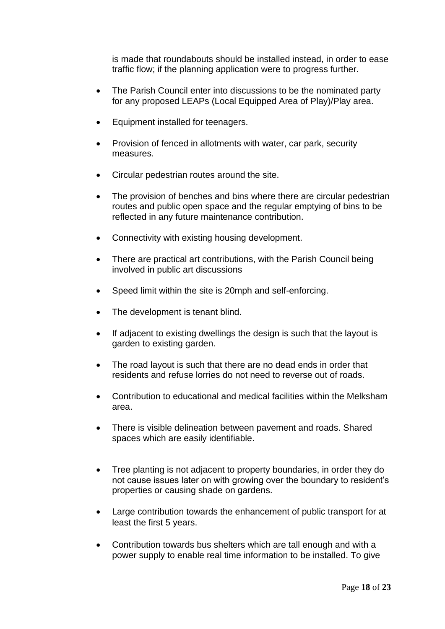is made that roundabouts should be installed instead, in order to ease traffic flow; if the planning application were to progress further.

- The Parish Council enter into discussions to be the nominated party for any proposed LEAPs (Local Equipped Area of Play)/Play area.
- Equipment installed for teenagers.
- Provision of fenced in allotments with water, car park, security measures.
- Circular pedestrian routes around the site.
- The provision of benches and bins where there are circular pedestrian routes and public open space and the regular emptying of bins to be reflected in any future maintenance contribution.
- Connectivity with existing housing development.
- There are practical art contributions, with the Parish Council being involved in public art discussions
- Speed limit within the site is 20mph and self-enforcing.
- The development is tenant blind.
- If adjacent to existing dwellings the design is such that the layout is garden to existing garden.
- The road layout is such that there are no dead ends in order that residents and refuse lorries do not need to reverse out of roads.
- Contribution to educational and medical facilities within the Melksham area.
- There is visible delineation between pavement and roads. Shared spaces which are easily identifiable.
- Tree planting is not adjacent to property boundaries, in order they do not cause issues later on with growing over the boundary to resident's properties or causing shade on gardens.
- Large contribution towards the enhancement of public transport for at least the first 5 years.
- Contribution towards bus shelters which are tall enough and with a power supply to enable real time information to be installed. To give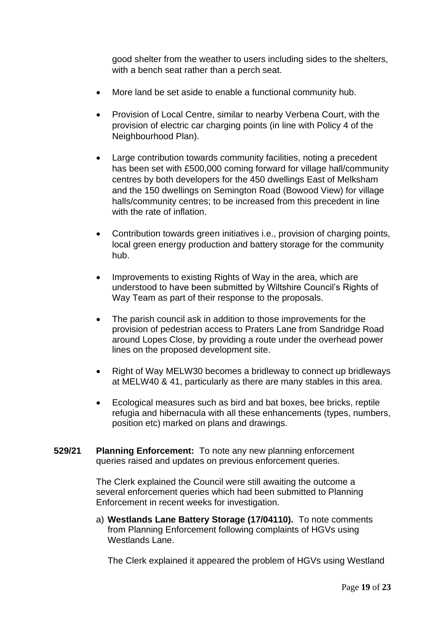good shelter from the weather to users including sides to the shelters, with a bench seat rather than a perch seat.

- More land be set aside to enable a functional community hub.
- Provision of Local Centre, similar to nearby Verbena Court, with the provision of electric car charging points (in line with Policy 4 of the Neighbourhood Plan).
- Large contribution towards community facilities, noting a precedent has been set with £500,000 coming forward for village hall/community centres by both developers for the 450 dwellings East of Melksham and the 150 dwellings on Semington Road (Bowood View) for village halls/community centres; to be increased from this precedent in line with the rate of inflation.
- Contribution towards green initiatives i.e., provision of charging points, local green energy production and battery storage for the community hub.
- Improvements to existing Rights of Way in the area, which are understood to have been submitted by Wiltshire Council's Rights of Way Team as part of their response to the proposals.
- The parish council ask in addition to those improvements for the provision of pedestrian access to Praters Lane from Sandridge Road around Lopes Close, by providing a route under the overhead power lines on the proposed development site.
- Right of Way MELW30 becomes a bridleway to connect up bridleways at MELW40 & 41, particularly as there are many stables in this area.
- Ecological measures such as bird and bat boxes, bee bricks, reptile refugia and hibernacula with all these enhancements (types, numbers, position etc) marked on plans and drawings.
- **529/21 Planning Enforcement:** To note any new planning enforcement queries raised and updates on previous enforcement queries.

The Clerk explained the Council were still awaiting the outcome a several enforcement queries which had been submitted to Planning Enforcement in recent weeks for investigation.

a) **Westlands Lane Battery Storage (17/04110).** To note comments from Planning Enforcement following complaints of HGVs using Westlands Lane.

The Clerk explained it appeared the problem of HGVs using Westland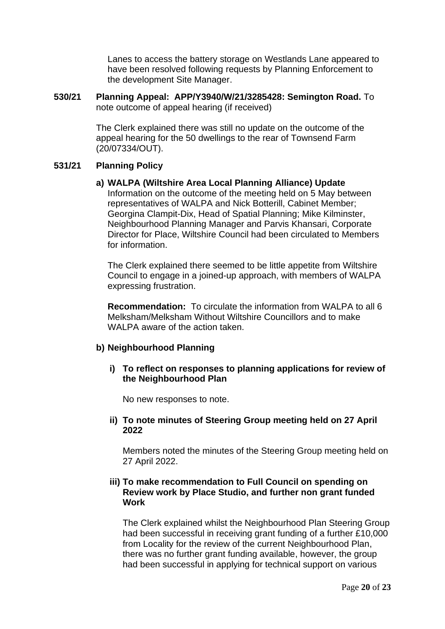Lanes to access the battery storage on Westlands Lane appeared to have been resolved following requests by Planning Enforcement to the development Site Manager.

**530/21 Planning Appeal: APP/Y3940/W/21/3285428: Semington Road.** To note outcome of appeal hearing (if received)

> The Clerk explained there was still no update on the outcome of the appeal hearing for the 50 dwellings to the rear of Townsend Farm (20/07334/OUT).

### **531/21 Planning Policy**

#### **a) WALPA (Wiltshire Area Local Planning Alliance) Update**

Information on the outcome of the meeting held on 5 May between representatives of WALPA and Nick Botterill, Cabinet Member; Georgina Clampit-Dix, Head of Spatial Planning; Mike Kilminster, Neighbourhood Planning Manager and Parvis Khansari, Corporate Director for Place, Wiltshire Council had been circulated to Members for information.

The Clerk explained there seemed to be little appetite from Wiltshire Council to engage in a joined-up approach, with members of WALPA expressing frustration.

**Recommendation:** To circulate the information from WALPA to all 6 Melksham/Melksham Without Wiltshire Councillors and to make WALPA aware of the action taken.

### **b) Neighbourhood Planning**

**i) To reflect on responses to planning applications for review of the Neighbourhood Plan**

No new responses to note.

**ii) To note minutes of Steering Group meeting held on 27 April 2022**

Members noted the minutes of the Steering Group meeting held on 27 April 2022.

### **iii) To make recommendation to Full Council on spending on Review work by Place Studio, and further non grant funded Work**

The Clerk explained whilst the Neighbourhood Plan Steering Group had been successful in receiving grant funding of a further £10,000 from Locality for the review of the current Neighbourhood Plan, there was no further grant funding available, however, the group had been successful in applying for technical support on various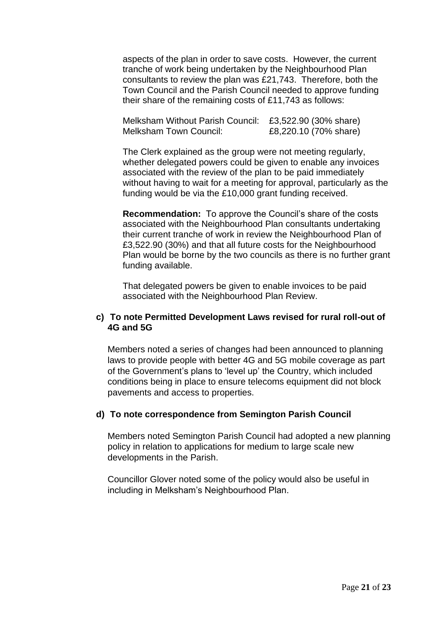aspects of the plan in order to save costs. However, the current tranche of work being undertaken by the Neighbourhood Plan consultants to review the plan was £21,743. Therefore, both the Town Council and the Parish Council needed to approve funding their share of the remaining costs of £11,743 as follows:

| <b>Melksham Without Parish Council:</b> | £3,522.90 (30% share) |
|-----------------------------------------|-----------------------|
| Melksham Town Council:                  | £8,220.10 (70% share) |

The Clerk explained as the group were not meeting regularly, whether delegated powers could be given to enable any invoices associated with the review of the plan to be paid immediately without having to wait for a meeting for approval, particularly as the funding would be via the £10,000 grant funding received.

**Recommendation:** To approve the Council's share of the costs associated with the Neighbourhood Plan consultants undertaking their current tranche of work in review the Neighbourhood Plan of £3,522.90 (30%) and that all future costs for the Neighbourhood Plan would be borne by the two councils as there is no further grant funding available.

That delegated powers be given to enable invoices to be paid associated with the Neighbourhood Plan Review.

# **c) To note Permitted Development Laws revised for rural roll-out of 4G and 5G**

Members noted a series of changes had been announced to planning laws to provide people with better 4G and 5G mobile coverage as part of the Government's plans to 'level up' the Country, which included conditions being in place to ensure telecoms equipment did not block pavements and access to properties.

### **d) To note correspondence from Semington Parish Council**

Members noted Semington Parish Council had adopted a new planning policy in relation to applications for medium to large scale new developments in the Parish.

Councillor Glover noted some of the policy would also be useful in including in Melksham's Neighbourhood Plan.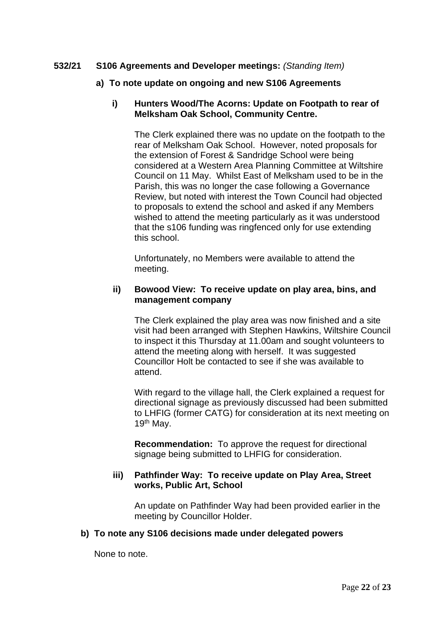# **532/21 S106 Agreements and Developer meetings:** *(Standing Item)*

### **a) To note update on ongoing and new S106 Agreements**

### **i) Hunters Wood/The Acorns: Update on Footpath to rear of Melksham Oak School, Community Centre.**

The Clerk explained there was no update on the footpath to the rear of Melksham Oak School. However, noted proposals for the extension of Forest & Sandridge School were being considered at a Western Area Planning Committee at Wiltshire Council on 11 May. Whilst East of Melksham used to be in the Parish, this was no longer the case following a Governance Review, but noted with interest the Town Council had objected to proposals to extend the school and asked if any Members wished to attend the meeting particularly as it was understood that the s106 funding was ringfenced only for use extending this school.

Unfortunately, no Members were available to attend the meeting.

### **ii) Bowood View: To receive update on play area, bins, and management company**

The Clerk explained the play area was now finished and a site visit had been arranged with Stephen Hawkins, Wiltshire Council to inspect it this Thursday at 11.00am and sought volunteers to attend the meeting along with herself. It was suggested Councillor Holt be contacted to see if she was available to attend.

With regard to the village hall, the Clerk explained a request for directional signage as previously discussed had been submitted to LHFIG (former CATG) for consideration at its next meeting on  $19<sup>th</sup>$  May.

**Recommendation:** To approve the request for directional signage being submitted to LHFIG for consideration.

### **iii) Pathfinder Way: To receive update on Play Area, Street works, Public Art, School**

An update on Pathfinder Way had been provided earlier in the meeting by Councillor Holder.

### **b) To note any S106 decisions made under delegated powers**

None to note.